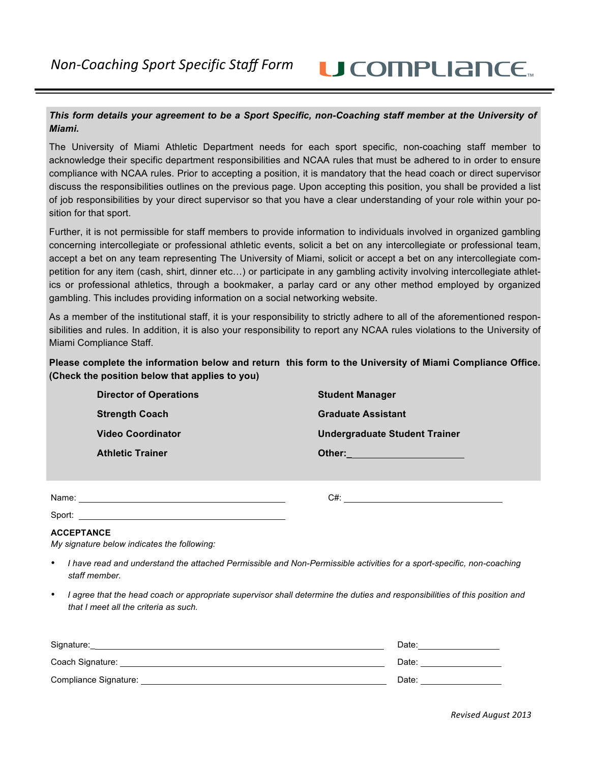## **U** COMPLIANCE.

### *This form details your agreement to be a Sport Specific, non-Coaching staff member at the University of Miami.*

The University of Miami Athletic Department needs for each sport specific, non-coaching staff member to acknowledge their specific department responsibilities and NCAA rules that must be adhered to in order to ensure compliance with NCAA rules. Prior to accepting a position, it is mandatory that the head coach or direct supervisor discuss the responsibilities outlines on the previous page. Upon accepting this position, you shall be provided a list of job responsibilities by your direct supervisor so that you have a clear understanding of your role within your position for that sport.

Further, it is not permissible for staff members to provide information to individuals involved in organized gambling concerning intercollegiate or professional athletic events, solicit a bet on any intercollegiate or professional team, accept a bet on any team representing The University of Miami, solicit or accept a bet on any intercollegiate competition for any item (cash, shirt, dinner etc…) or participate in any gambling activity involving intercollegiate athletics or professional athletics, through a bookmaker, a parlay card or any other method employed by organized gambling. This includes providing information on a social networking website.

As a member of the institutional staff, it is your responsibility to strictly adhere to all of the aforementioned responsibilities and rules. In addition, it is also your responsibility to report any NCAA rules violations to the University of Miami Compliance Staff.

**Please complete the information below and return this form to the University of Miami Compliance Office. (Check the position below that applies to you)**

| <b>Director of Operations</b> | <b>Student Manager</b>               |
|-------------------------------|--------------------------------------|
| <b>Strength Coach</b>         | <b>Graduate Assistant</b>            |
| <b>Video Coordinator</b>      | <b>Undergraduate Student Trainer</b> |
| <b>Athletic Trainer</b>       | Other:                               |
|                               |                                      |

Name: C#:

### Sport:

**ACCEPTANCE**

*My signature below indicates the following:*

- *I have read and understand the attached Permissible and Non-Permissible activities for a sport-specific, non-coaching staff member.*
- *I agree that the head coach or appropriate supervisor shall determine the duties and responsibilities of this position and that I meet all the criteria as such.*

| Signature:            | Date: |
|-----------------------|-------|
| Coach Signature:      | Date: |
| Compliance Signature: | Date: |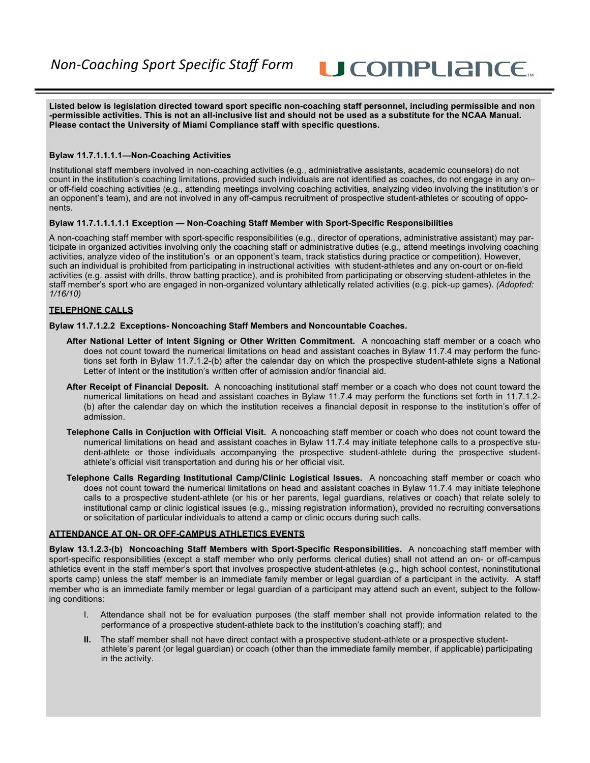U COMPLIANCE.

**Listed below is legislation directed toward sport specific non-coaching staff personnel, including permissible and non -permissible activities. This is not an all-inclusive list and should not be used as a substitute for the NCAA Manual. Please contact the University of Miami Compliance staff with specific questions.**

#### **Bylaw 11.7.1.1.1.1—Non-Coaching Activities**

Institutional staff members involved in non-coaching activities (e.g., administrative assistants, academic counselors) do not count in the institution's coaching limitations, provided such individuals are not identified as coaches, do not engage in any on– or off-field coaching activities (e.g., attending meetings involving coaching activities, analyzing video involving the institution's or an opponent's team), and are not involved in any off-campus recruitment of prospective student-athletes or scouting of opponents.

#### **Bylaw 11.7.1.1.1.1.1 Exception — Non-Coaching Staff Member with Sport-Specific Responsibilities**

A non-coaching staff member with sport-specific responsibilities (e.g., director of operations, administrative assistant) may participate in organized activities involving only the coaching staff or administrative duties (e.g., attend meetings involving coaching activities, analyze video of the institution's or an opponent's team, track statistics during practice or competition). However, such an individual is prohibited from participating in instructional activities with student-athletes and any on-court or on-field activities (e.g. assist with drills, throw batting practice), and is prohibited from participating or observing student-athletes in the staff member's sport who are engaged in non-organized voluntary athletically related activities (e.g. pick-up games). *(Adopted: 1/16/10)*

#### **TELEPHONE CALLS**

#### **Bylaw 11.7.1.2.2 Exceptions- Noncoaching Staff Members and Noncountable Coaches.**

- **After National Letter of Intent Signing or Other Written Commitment.** A noncoaching staff member or a coach who does not count toward the numerical limitations on head and assistant coaches in Bylaw 11.7.4 may perform the functions set forth in Bylaw 11.7.1.2-(b) after the calendar day on which the prospective student-athlete signs a National Letter of Intent or the institution's written offer of admission and/or financial aid.
- **After Receipt of Financial Deposit.** A noncoaching institutional staff member or a coach who does not count toward the numerical limitations on head and assistant coaches in Bylaw 11.7.4 may perform the functions set forth in 11.7.1.2- (b) after the calendar day on which the institution receives a financial deposit in response to the institution's offer of admission.
- **Telephone Calls in Conjuction with Official Visit.** A noncoaching staff member or coach who does not count toward the numerical limitations on head and assistant coaches in Bylaw 11.7.4 may initiate telephone calls to a prospective student-athlete or those individuals accompanying the prospective student-athlete during the prospective studentathlete's official visit transportation and during his or her official visit.
- **Telephone Calls Regarding Institutional Camp/Clinic Logistical Issues.** A noncoaching staff member or coach who does not count toward the numerical limitations on head and assistant coaches in Bylaw 11.7.4 may initiate telephone calls to a prospective student-athlete (or his or her parents, legal guardians, relatives or coach) that relate solely to institutional camp or clinic logistical issues (e.g., missing registration information), provided no recruiting conversations or solicitation of particular individuals to attend a camp or clinic occurs during such calls.

#### **ATTENDANCE AT ON- OR OFF-CAMPUS ATHLETICS EVENTS**

**Bylaw 13.1.2.3-(b) Noncoaching Staff Members with Sport-Specific Responsibilities.** A noncoaching staff member with sport-specific responsibilities (except a staff member who only performs clerical duties) shall not attend an on- or off-campus athletics event in the staff member's sport that involves prospective student-athletes (e.g., high school contest, noninstitutional sports camp) unless the staff member is an immediate family member or legal guardian of a participant in the activity. A staff member who is an immediate family member or legal guardian of a participant may attend such an event, subject to the following conditions:

- I. Attendance shall not be for evaluation purposes (the staff member shall not provide information related to the performance of a prospective student-athlete back to the institution's coaching staff); and
- **II.** The staff member shall not have direct contact with a prospective student-athlete or a prospective studentathlete's parent (or legal guardian) or coach (other than the immediate family member, if applicable) participating in the activity.